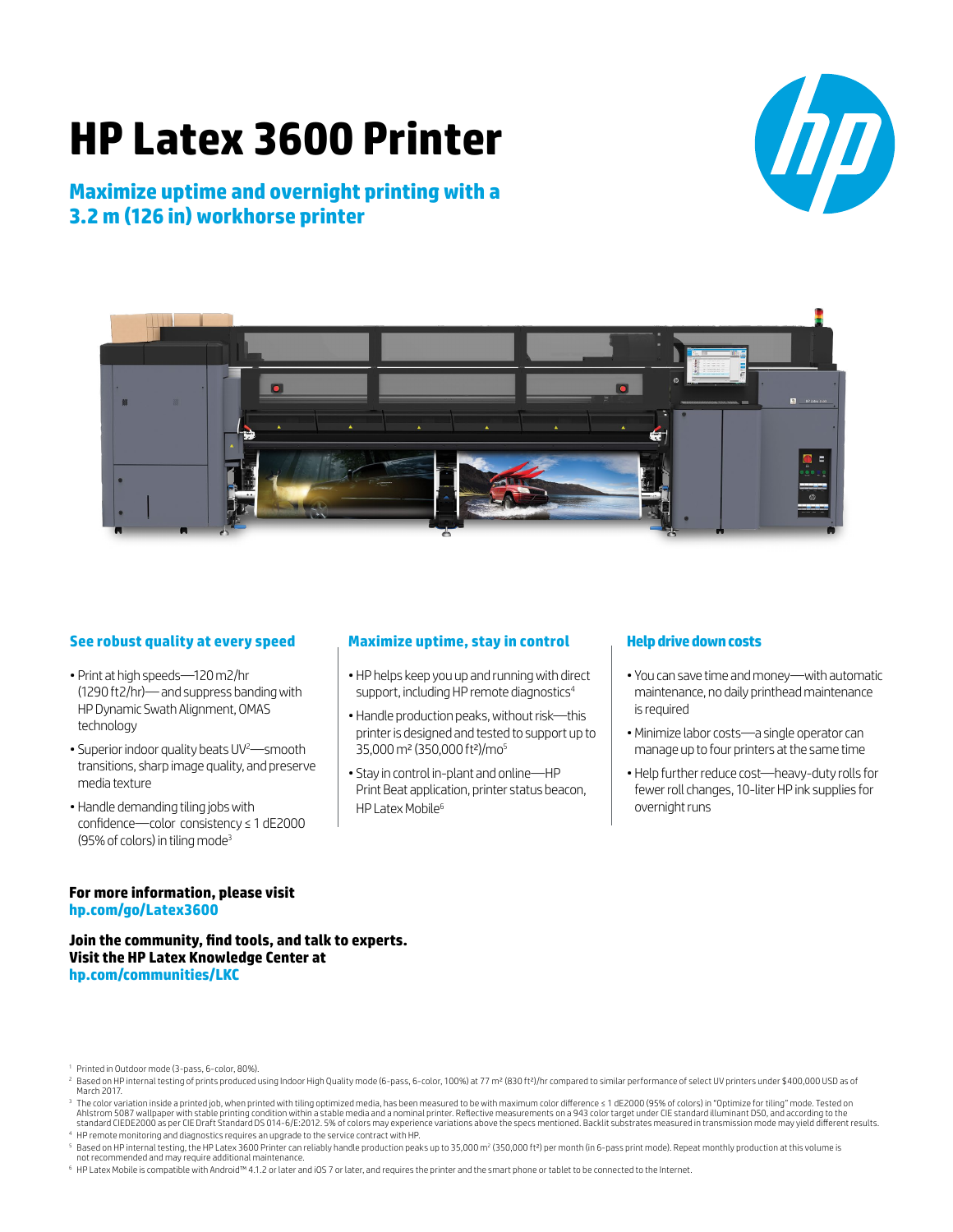# **HP Latex 3600 Printer**

### **Maximize uptime and overnight printing with a 3.2 m (126 in) workhorse printer**





### **See robust quality at every speed**

- Print at high speeds—120 m2/hr (1290 ft2/hr)— and suppress banding with HP Dynamic Swath Alignment, OMAS technology
- Superior indoor quality beats UV<sup>2</sup>—smooth transitions, sharp image quality, and preserve media texture
- Handle demanding tiling jobs with confidence—color consistency ≤ 1 dE2000 (95% of colors) in tiling mode<sup>3</sup>

### **Maximize uptime, stay in control**

- HP helps keep you up and running with direct support, including HP remote diagnostics $4$
- Handle production peaks, without risk—this printer is designed and tested to support up to 35,000 m² (350,000 ft²)/mo5
- Stay in control in-plant and online—HP Print Beat application, printer status beacon, HP Latex Mobile<sup>6</sup>

#### **Help drive down costs**

- You can save time and money—with automatic maintenance, no daily printhead maintenance is required
- •Minimize labor costs—a single operator can manage up to four printers at the same time
- Help further reduce cost—heavy-duty rolls for fewer roll changes, 10-liter HP ink supplies for overnight runs

### **For more information, please visit [hp.com/go/L](http://hp.com/go/Latex3600)atex3600**

### **Join the community, find tools, and talk to experts. Visit the HP Latex Knowledge Center at [hp.com/communities/LKC](http://hp.com/communities/LKC)**

<sup>1</sup> Printed in Outdoor mode (3-pass, 6-color, 80%).

<sup>6</sup> HP Latex Mobile is compatible with Android™ 4.1.2 or later and iOS 7 or later, and requires the printer and the smart phone or tablet to be connected to the Internet.

<sup>&</sup>lt;sup>2</sup> Based on HP internal testing of prints produced using Indoor High Quality mode (6-pass, 6-color, 100%) at 77 m<sup>2</sup> (830 ft<sup>2</sup>)/hr compared to similar performance of select UV printers under \$400,000 USD as of March 2017.

<sup>&</sup>lt;sup>3</sup> The color variation inside a printed job, when printed with tiling optimized media, has been measured to be with maximum color difference ≤ 1 dE2000 (95% of colors) in "Optimize for tiling" mode. Tested on Ahlstrom 5087 wallpaper with stable printing condition within a stable media and a nominal printer. Reflective measurements on a 943 color target under CIE standard illuminant D50, and according to the standard CIEDE2000 as per CIE Draft Standard DS 014-6/E:2012. 5% of colors may experience variations above the specs mentioned. Backlit substrates measured in transmission mode may yield different results.

<sup>4</sup> HP remote monitoring and diagnostics requires an upgrade to the service contract with HP.

<sup>&</sup>lt;sup>s</sup> Based on HP internal testing, the HP Latex 3600 Printer can reliably handle production peaks up to 35,000 m² (350,000 ft²) per month (in 6-pass print mode). Repeat monthly production at this volume is<br>not recommended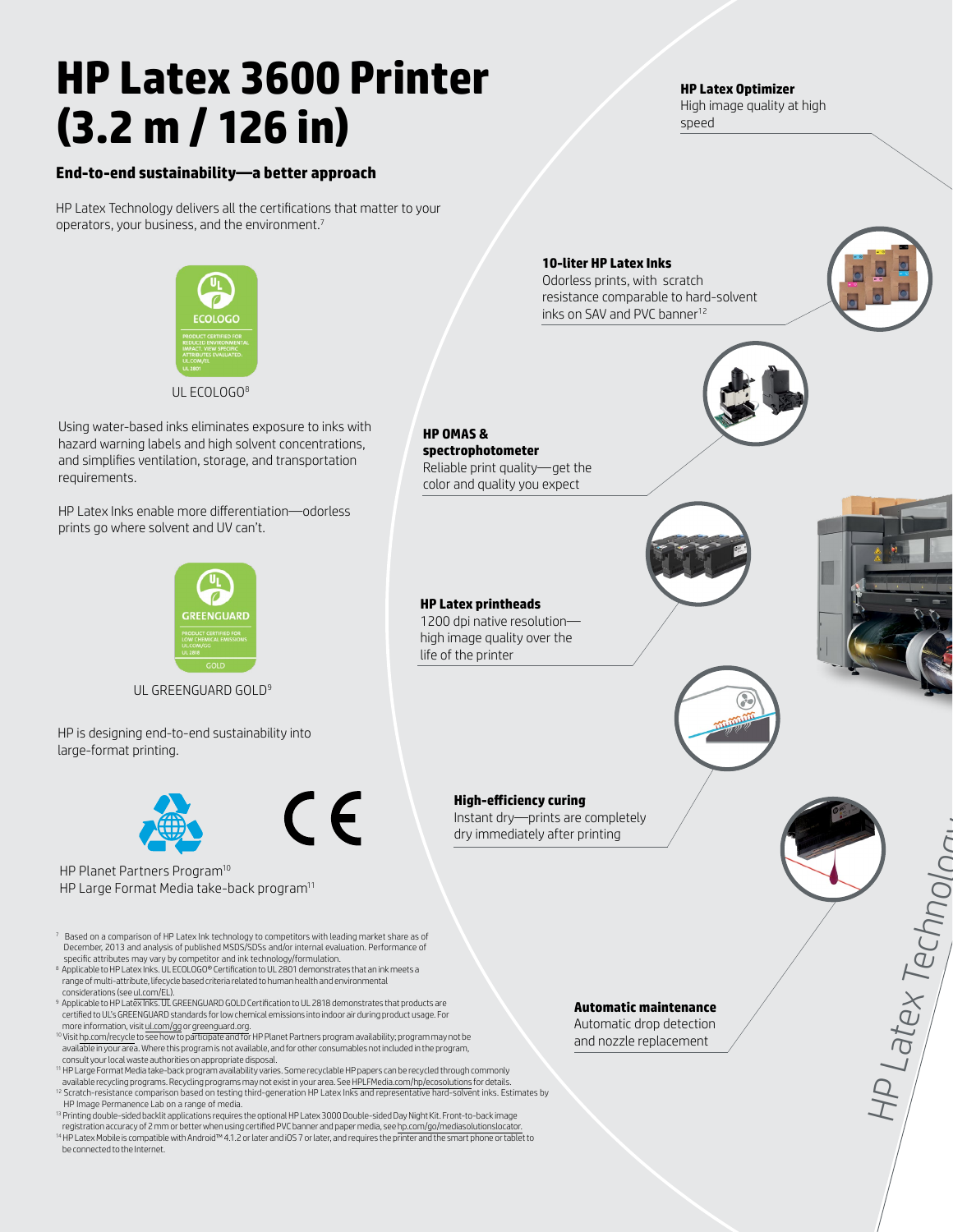# **HP Latex 3600 Printer (3.2 m / 126 in)**

### **End-to-end sustainability—a better approach**

HP Latex Technology delivers all the certifications that matter to your operators, your business, and the environment.7



UL ECOLOGO<sup>8</sup>

Using water-based inks eliminates exposure to inks with hazard warning labels and high solvent concentrations, and simplifies ventilation, storage, and transportation requirements.

HP Latex Inks enable more differentiation—odorless prints go where solvent and UV can't.



UL GREENGUARD GOLD<sup>9</sup>

HP is designing end-to-end sustainability into large-format printing.



 $\epsilon$ 

HP Planet Partners Program10 HP Large Format Media take-back program<sup>11</sup>

 $^7$  Based on a comparison of HP Latex Ink technology to competitors with leading market share as of December, 2013 and analysis of published MSDS/SDSs and/or internal evaluation. Performance of

- specific attributes may vary by competitor and ink technology/formulation. 8 Applicable to HP Latex Inks. UL ECOLOGO® Certification to UL 2801 demonstrates that an ink meets a range of multi-attribute, lifecycle based criteria related to human health and environmental considerations (see [ul.com/EL](http://ul.com/EL)).
- 9 Applicable to HP Latex Inks. UL GREENGUARD GOLD Certification to UL 2818 demonstrates that products are certified to UL's GREENGUARD standards for low chemical emissions into indoor air during product usage. For more information, visit [ul.com/gg](http://ul.com/gg) or [greenguard.org](http://greenguard.org).
- <sup>10</sup> Visit h<u>p.com/recycle</u> to see how to participate and for HP Planet Partners program availability; program may not be<br>available in your area. Where this program is not available, and for other consumables not included consult your local waste authorities on appropriate disposal.
- 11 HP Large Format Media take-back program availability varies. Some recyclable HP papers can be recycled through commonly<br>available recycling programs. Recycling programs may not exist in your area. See HPLFMedia.com/hp/e
- <sup>12</sup> Scratch-resistance comparison based on testing third-generation HP Latex Inks and representative hard-solvent inks. Estimates by HP Image Permanence Lab on a range of media.
- <sup>13</sup> Printing double-sided backlit applications requires the optional HP Latex 3000 Double-sided Day Night Kit. Front-to-back image registration accuracy of 2 mm or better when using certified PVC banner and paper media, see [hp.com/go/mediasolutionslocator.](www.hp.com/go/mediasolutionslocator)<br>™ HP Latex Mobile is compatible with Android™ 4.1.2 or later and iOS 7 or later, and requires t be connected to the Internet.

**HP Latex Optimizer**

High image quality at high speed

## HP Latex Techno **10-liter HP Latex Inks** Odorless prints, with scratch resistance comparable to hard-solvent inks on SAV and PVC banner<sup>12</sup> **HP OMAS & spectrophotometer** Reliable print quality—get the color and quality you expect **HP Latex printheads** 1200 dpi native resolution high image quality over the life of the printer **High-efficiency curing** Instant dry—prints are completely dry immediately after printing **Automatic maintenance** Automatic drop detection and nozzle replacement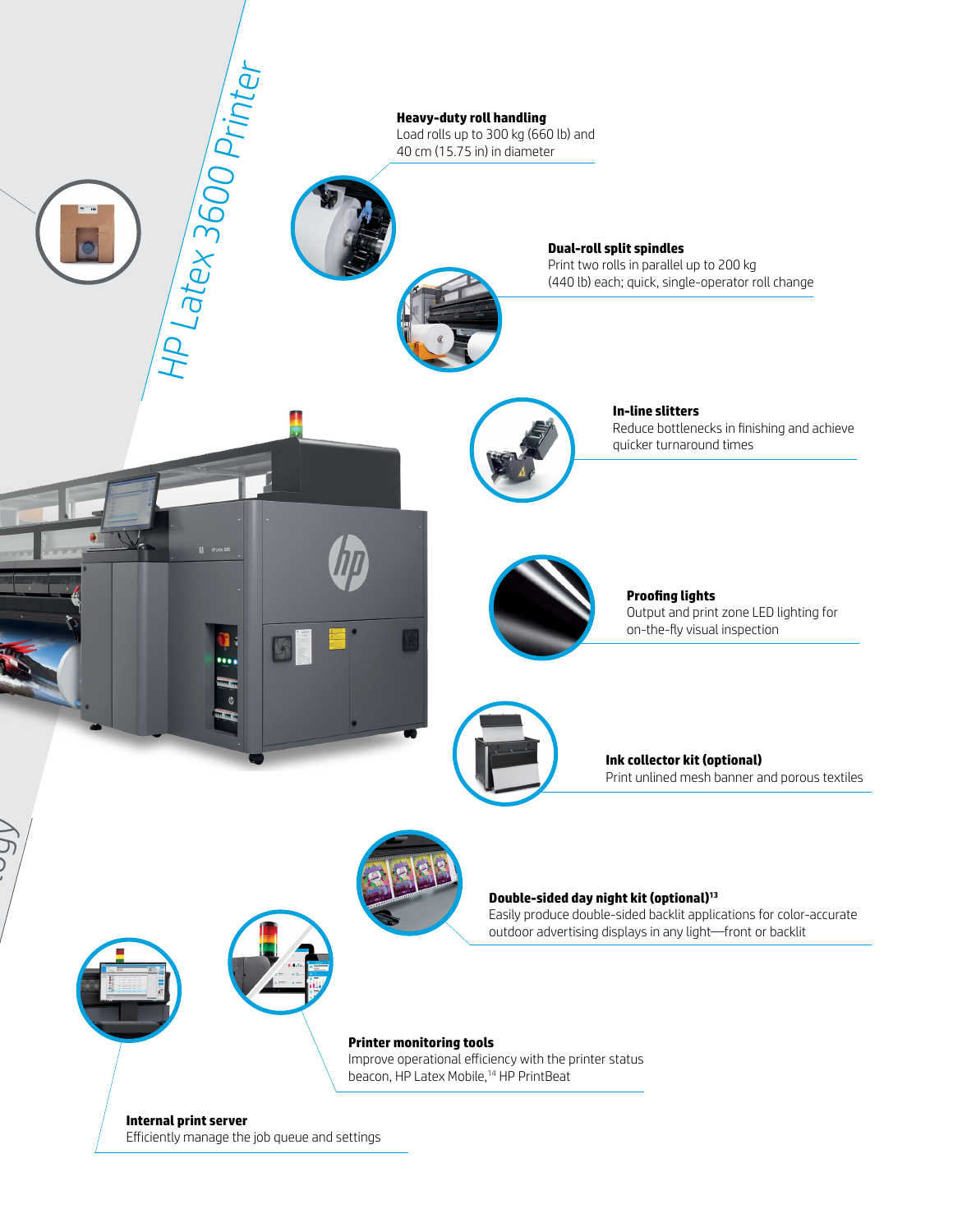